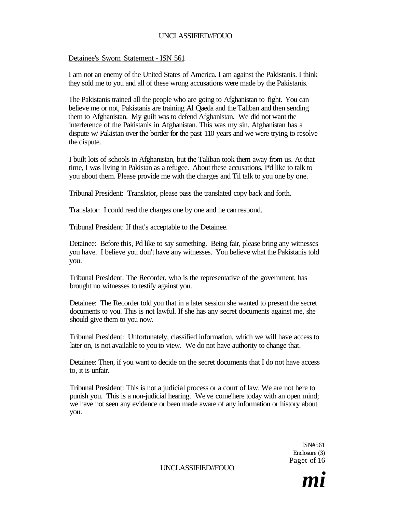# Detainee's Sworn Statement - ISN 561

I am not an enemy of the United States of America. I am against the Pakistanis. I think they sold me to you and all of these wrong accusations were made by the Pakistanis.

The Pakistanis trained all the people who are going to Afghanistan to fight. You can believe me or not, Pakistanis are training Al Qaeda and the Taliban and then sending them to Afghanistan. My guilt was to defend Afghanistan. We did not want the interference of the Pakistanis in Afghanistan. This was my sin. Afghanistan has a dispute w/ Pakistan over the border for the past 110 years and we were trying to resolve the dispute.

I built lots of schools in Afghanistan, but the Taliban took them away from us. At that time, I was living in Pakistan as a refugee. About these accusations, I\*d like to talk to you about them. Please provide me with the charges and Til talk to you one by one.

Tribunal President: Translator, please pass the translated copy back and forth.

Translator: I could read the charges one by one and he can respond.

Tribunal President: If that's acceptable to the Detainee.

Detainee: Before this, Pd like to say something. Being fair, please bring any witnesses you have. I believe you don't have any witnesses. You believe what the Pakistanis told you.

Tribunal President: The Recorder, who is the representative of the government, has brought no witnesses to testify against you.

Detainee: The Recorder told you that in a later session she wanted to present the secret documents to you. This is not lawful. If she has any secret documents against me, she should give them to you now.

Tribunal President: Unfortunately, classified information, which we will have access to later on, is not available to you to view. We do not have authority to change that.

Detainee: Then, if you want to decide on the secret documents that I do not have access to, it is unfair.

Tribunal President: This is not a judicial process or a court of law. We are not here to punish you. This is a non-judicial hearing. We've come'here today with an open mind; we have not seen any evidence or been made aware of any information or history about you.

> ISN#561 Enclosure (3) Paget of 16

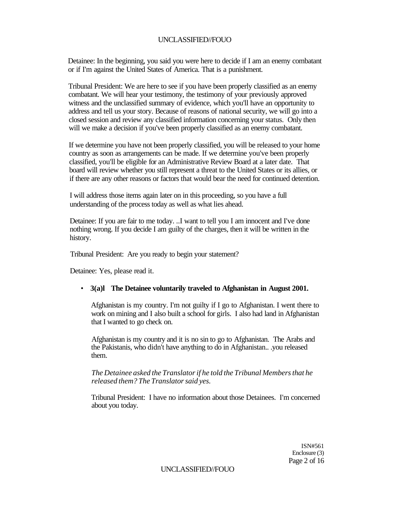Detainee: In the beginning, you said you were here to decide if I am an enemy combatant or if I'm against the United States of America. That is a punishment.

Tribunal President: We are here to see if you have been properly classified as an enemy combatant. We will hear your testimony, the testimony of your previously approved witness and the unclassified summary of evidence, which you'll have an opportunity to address and tell us your story. Because of reasons of national security, we will go into a closed session and review any classified information concerning your status. Only then will we make a decision if you've been properly classified as an enemy combatant.

If we determine you have not been properly classified, you will be released to your home country as soon as arrangements can be made. If we determine you've been properly classified, you'll be eligible for an Administrative Review Board at a later date. That board will review whether you still represent a threat to the United States or its allies, or if there are any other reasons or factors that would bear the need for continued detention.

I will address those items again later on in this proceeding, so you have a full understanding of the process today as well as what lies ahead.

Detainee: If you are fair to me today. ..I want to tell you I am innocent and I've done nothing wrong. If you decide I am guilty of the charges, then it will be written in the history.

Tribunal President: Are you ready to begin your statement?

Detainee: Yes, please read it.

## • **3(a)l The Detainee voluntarily traveled to Afghanistan in August 2001.**

Afghanistan is my country. I'm not guilty if I go to Afghanistan. I went there to work on mining and I also built a school for girls. I also had land in Afghanistan that I wanted to go check on.

Afghanistan is my country and it is no sin to go to Afghanistan. The Arabs and the Pakistanis, who didn't have anything to do in Afghanistan.. .you released them.

*The Detainee asked the Translator if he told the Tribunal Members that he released them? The Translator said yes.* 

Tribunal President: I have no information about those Detainees. I'm concerned about you today.

> ISN#561 Enclosure (3) Page 2 of 16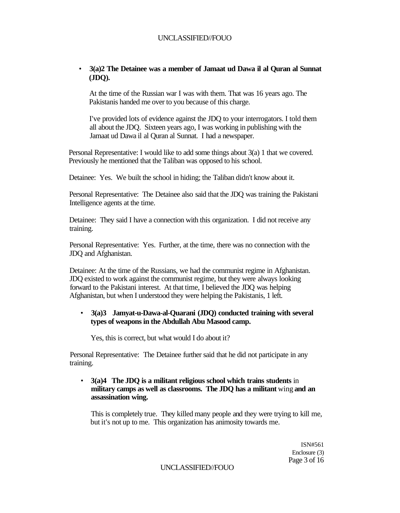# • **3(a)2 The Detainee was a member of Jamaat ud Dawa il al Quran al Sunnat (JDQ).**

At the time of the Russian war I was with them. That was 16 years ago. The Pakistanis handed me over to you because of this charge.

I've provided lots of evidence against the JDQ to your interrogators. I told them all about the JDQ. Sixteen years ago, I was working in publishing with the Jamaat ud Dawa il al Quran al Sunnat. I had a newspaper.

Personal Representative: I would like to add some things about 3(a) 1 that we covered. Previously he mentioned that the Taliban was opposed to his school.

Detainee: Yes. We built the school in hiding; the Taliban didn't know about it.

Personal Representative: The Detainee also said that the JDQ was training the Pakistani Intelligence agents at the time.

Detainee: They said I have a connection with this organization. I did not receive any training.

Personal Representative: Yes. Further, at the time, there was no connection with the JDQ and Afghanistan.

Detainee: At the time of the Russians, we had the communist regime in Afghanistan. JDQ existed to work against the communist regime, but they were always looking forward to the Pakistani interest. At that time, I believed the JDQ was helping Afghanistan, but when I understood they were helping the Pakistanis, 1 left.

# • **3(a)3 Jamyat-u-Dawa-al-Quarani (JDQ) conducted training with several types of weapons in the Abdullah Abu Masood camp.**

Yes, this is correct, but what would I do about it?

Personal Representative: The Detainee further said that he did not participate in any training.

• **3(a)4 The JDQ is a militant religious school which trains students** in **military camps as well as classrooms. The JDQ has a militant** wing **and an assassination wing.** 

This is completely true. They killed many people and they were trying to kill me, but it's not up to me. This organization has animosity towards me.

> ISN#561 Enclosure (3) Page 3 of 16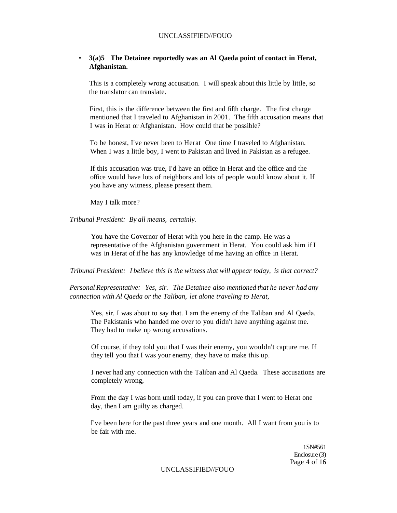## • **3(a)5 The Detainee reportedly was an Al Qaeda point of contact in Herat, Afghanistan.**

This is a completely wrong accusation. I will speak about this little by little, so the translator can translate.

First, this is the difference between the first and fifth charge. The first charge mentioned that I traveled to Afghanistan in 2001. The fifth accusation means that I was in Herat or Afghanistan. How could that be possible?

To be honest, I've never been to Herat One time I traveled to Afghanistan. When I was a little boy, I went to Pakistan and lived in Pakistan as a refugee.

If this accusation was true, I'd have an office in Herat and the office and the office would have lots of neighbors and lots of people would know about it. If you have any witness, please present them.

May I talk more?

*Tribunal President: By all means, certainly.* 

You have the Governor of Herat with you here in the camp. He was a representative of the Afghanistan government in Herat. You could ask him if I was in Herat of if he has any knowledge of me having an office in Herat.

*Tribunal President: I believe this is the witness that will appear today, is that correct?* 

*Personal Representative: Yes, sir. The Detainee also mentioned that he never had any connection with Al Qaeda or the Taliban, let alone traveling to Herat,* 

Yes, sir. I was about to say that. I am the enemy of the Taliban and Al Qaeda. The Pakistanis who handed me over to you didn't have anything against me. They had to make up wrong accusations.

Of course, if they told you that I was their enemy, you wouldn't capture me. If they tell you that I was your enemy, they have to make this up.

I never had any connection with the Taliban and Al Qaeda. These accusations are completely wrong,

From the day I was born until today, if you can prove that I went to Herat one day, then I am guilty as charged.

I've been here for the past three years and one month. All I want from you is to be fair with me.

> 1SN#561 Enclosure (3) Page 4 of 16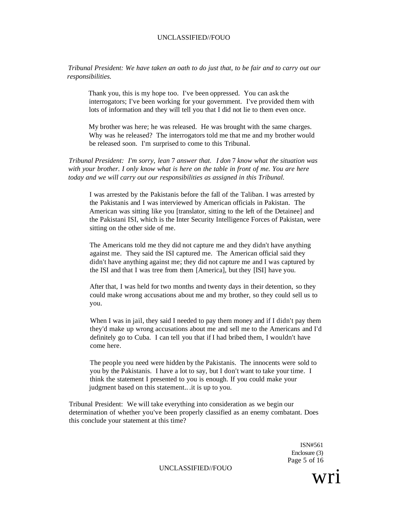*Tribunal President: We have taken an oath to do just that, to be fair and to carry out our responsibilities.* 

Thank you, this is my hope too. I've been oppressed. You can ask the interrogators; I've been working for your government. I've provided them with lots of information and they will tell you that I did not lie to them even once.

My brother was here; he was released. He was brought with the same charges. Why was he released? The interrogators told me that me and my brother would be released soon. I'm surprised to come to this Tribunal.

*Tribunal President: I'm sorry, lean* 7 *answer that. I don* 7 *know what the situation was with your brother. I only know what is here on the table in front of me. You are here today and we will carry out our responsibilities as assigned in this Tribunal.* 

I was arrested by the Pakistanis before the fall of the Taliban. I was arrested by the Pakistanis and I was interviewed by American officials in Pakistan. The American was sitting like you [translator, sitting to the left of the Detainee] and the Pakistani ISI, which is the Inter Security Intelligence Forces of Pakistan, were sitting on the other side of me.

The Americans told me they did not capture me and they didn't have anything against me. They said the ISI captured me. The American official said they didn't have anything against me; they did not capture me and I was captured by the ISI and that I was tree from them [America], but they [ISI] have you.

After that, I was held for two months and twenty days in their detention, so they could make wrong accusations about me and my brother, so they could sell us to you.

When I was in jail, they said I needed to pay them money and if I didn't pay them they'd make up wrong accusations about me and sell me to the Americans and I'd definitely go to Cuba. I can tell you that if I had bribed them, I wouldn't have come here.

The people you need were hidden by the Pakistanis. The innocents were sold to you by the Pakistanis. I have a lot to say, but I don't want to take your time. I think the statement I presented to you is enough. If you could make your judgment based on this statement.. .it is up to you.

Tribunal President: We will take everything into consideration as we begin our determination of whether you've been properly classified as an enemy combatant. Does this conclude your statement at this time?

> ISN#561 Enclosure (3) Page 5 of 16

> > wri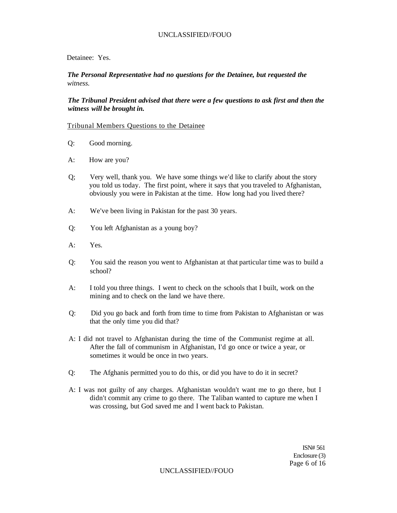## Detainee: Yes.

*The Personal Representative had no questions for the Detainee, but requested the witness.* 

*The Tribunal President advised that there were a few questions to ask first and then the witness will be brought in.* 

#### Tribunal Members Questions to the Detainee

- Q: Good morning.
- A: How are you?
- Q; Very well, thank you. We have some things we'd like to clarify about the story you told us today. The first point, where it says that you traveled to Afghanistan, obviously you were in Pakistan at the time. How long had you lived there?
- A: We've been living in Pakistan for the past 30 years.
- Q: You left Afghanistan as a young boy?
- A: Yes.
- Q: You said the reason you went to Afghanistan at that particular time was to build a school?
- A: I told you three things. I went to check on the schools that I built, work on the mining and to check on the land we have there.
- Q: Did you go back and forth from time to time from Pakistan to Afghanistan or was that the only time you did that?
- A: I did not travel to Afghanistan during the time of the Communist regime at all. After the fall of communism in Afghanistan, I'd go once or twice a year, or sometimes it would be once in two years.
- Q: The Afghanis permitted you to do this, or did you have to do it in secret?
- A: I was not guilty of any charges. Afghanistan wouldn't want me to go there, but I didn't commit any crime to go there. The Taliban wanted to capture me when I was crossing, but God saved me and I went back to Pakistan.

ISN# 561 Enclosure (3) Page 6 of 16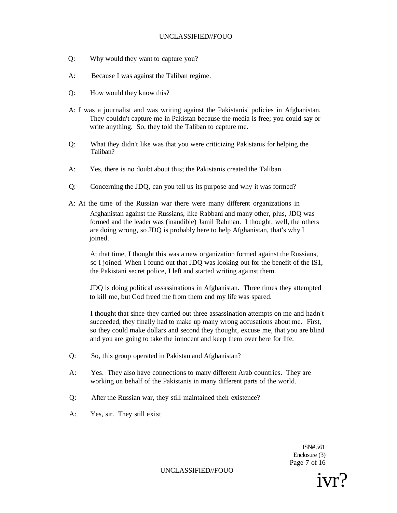- Q: Why would they want to capture you?
- A: Because I was against the Taliban regime.
- Q: How would they know this?
- A: I was a journalist and was writing against the Pakistanis' policies in Afghanistan. They couldn't capture me in Pakistan because the media is free; you could say or write anything. So, they told the Taliban to capture me.
- Q: What they didn't like was that you were criticizing Pakistanis for helping the Taliban?
- A: Yes, there is no doubt about this; the Pakistanis created the Taliban
- Q: Concerning the JDQ, can you tell us its purpose and why it was formed?
- A: At the time of the Russian war there were many different organizations in Afghanistan against the Russians, like Rabbani and many other, plus, JDQ was formed and the leader was (inaudible) Jamil Rahman. I thought, well, the others are doing wrong, so JDQ is probably here to help Afghanistan, that's why I joined.

At that time, I thought this was a new organization formed against the Russians, so I joined. When I found out that JDQ was looking out for the benefit of the IS1, the Pakistani secret police, I left and started writing against them.

JDQ is doing political assassinations in Afghanistan. Three times they attempted to kill me, but God freed me from them and my life was spared.

I thought that since they carried out three assassination attempts on me and hadn't succeeded, they finally had to make up many wrong accusations about me. First, so they could make dollars and second they thought, excuse me, that you are blind and you are going to take the innocent and keep them over here for life.

- Q: So, this group operated in Pakistan and Afghanistan?
- A: Yes. They also have connections to many different Arab countries. They are working on behalf of the Pakistanis in many different parts of the world.
- Q: After the Russian war, they still maintained their existence?
- A: Yes, sir. They still exist

ISN# 561 Enclosure (3) Page 7 of 16

UNCLASSIFIED//FOUO

ivr?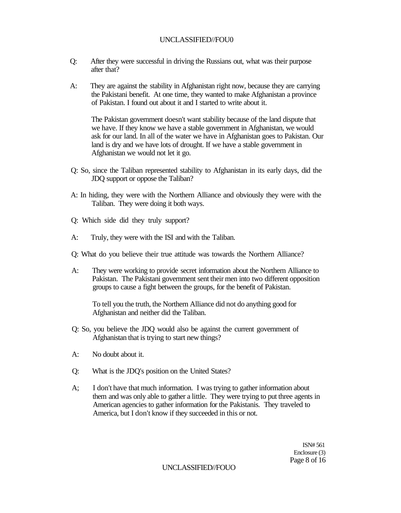- Q: After they were successful in driving the Russians out, what was their purpose after that?
- A: They are against the stability in Afghanistan right now, because they are carrying the Pakistani benefit. At one time, they wanted to make Afghanistan a province of Pakistan. I found out about it and I started to write about it.

The Pakistan government doesn't want stability because of the land dispute that we have. If they know we have a stable government in Afghanistan, we would ask for our land. In all of the water we have in Afghanistan goes to Pakistan. Our land is dry and we have lots of drought. If we have a stable government in Afghanistan we would not let it go.

- Q: So, since the Taliban represented stability to Afghanistan in its early days, did the JDQ support or oppose the Taliban?
- A: In hiding, they were with the Northern Alliance and obviously they were with the Taliban. They were doing it both ways.
- Q: Which side did they truly support?
- A: Truly, they were with the ISI and with the Taliban.
- Q: What do you believe their true attitude was towards the Northern Alliance?
- A: They were working to provide secret information about the Northern Alliance to Pakistan. The Pakistani government sent their men into two different opposition groups to cause a fight between the groups, for the benefit of Pakistan.

To tell you the truth, the Northern Alliance did not do anything good for Afghanistan and neither did the Taliban.

- Q: So, you believe the JDQ would also be against the current government of Afghanistan that is trying to start new things?
- A: No doubt about it.
- Q: What is the JDQ's position on the United States?
- A; I don't have that much information. I was trying to gather information about them and was only able to gather a little. They were trying to put three agents in American agencies to gather information for the Pakistanis. They traveled to America, but I don't know if they succeeded in this or not.

ISN# 561 Enclosure (3) Page 8 of 16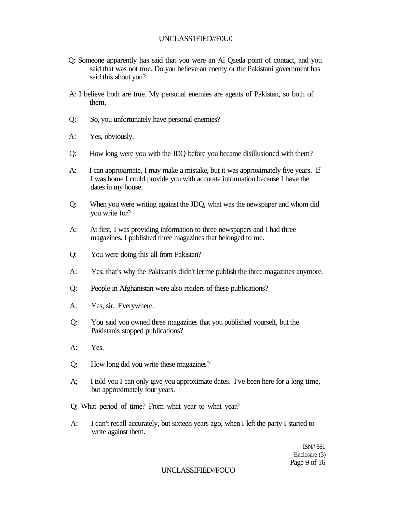# UNCLASS1FIED//F0U0

- Q: Someone apparently has said that you were an Al Qaeda point of contact, and you said that was not true. Do you believe an enemy or the Pakistani government has said this about you?
- A: I believe both are true. My personal enemies are agents of Pakistan, so both of them,
- Q: So, you unfortunately have personal enemies?
- A: Yes, obviously.
- Q: How long were you with the JDQ before you became disillusioned with them?
- A: I can approximate, I may make a mistake, but it was approximately five years. If I was home I could provide you with accurate information because I have the dates in my house.
- Q: When you were writing against the JDQ, what was the newspaper and whom did you write for?
- A: At first, I was providing information to three newspapers and I had three magazines. I published three magazines that belonged to me.
- Q: You were doing this all from Pakistan?
- A: Yes, that's why the Pakistanis didn't let me publish the three magazines anymore.
- Q: People in Afghanistan were also readers of these publications?
- A: Yes, sir. Everywhere.
- Q: You said you owned three magazines that you published yourself, but the Pakistanis stopped publications?
- A: Yes.
- Q: How long did you write these magazines?
- A; I told you I can only give you approximate dates. I've been here for a long time, but approximately four years.
- Q: What period of time? From what year to what year?
- A: I can't recall accurately, but sixteen years ago, when I left the party I started to write against them.

ISN# 561 Enclosure (3) Page 9 of 16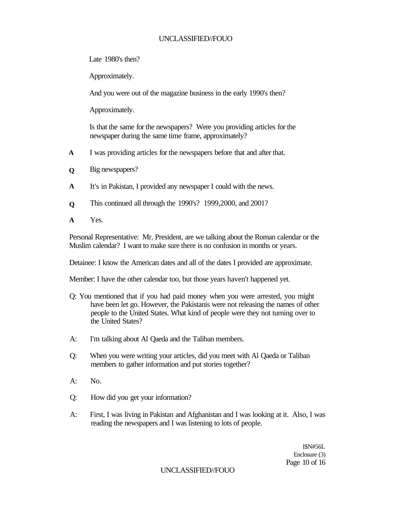Late 1980's then?

Approximately.

And you were out of the magazine business in the early 1990's then?

Approximately.

Is that the same for the newspapers? Were you providing articles for the newspaper during the same time frame, approximately?

- **A**  I was providing articles for the newspapers before that and after that.
- **Q**  Big newspapers?
- **A**  It's in Pakistan, I provided any newspaper I could with the news.
- **Q**  This continued all through the 1990's? 1999,2000, and 2001?
- **A**  Yes.

Personal Representative: Mr. President, are we talking about the Roman calendar or the Muslim calendar? I want to make sure there is no confusion in months or years.

Detainee: I know the American dates and all of the dates I provided are approximate.

Member: I have the other calendar too, but those years haven't happened yet.

- Q: You mentioned that if you had paid money when you were arrested, you might have been let go. However, the Pakistanis were not releasing the names of other people to the United States. What kind of people were they not turning over to the United States?
- A: I'm talking about Al Qaeda and the Taliban members.
- Q: When you were writing your articles, did you meet with Al Qaeda or Taliban members to gather information and put stories together?
- $A:$  No.
- Q: How did you get your information?
- A: First, I was living in Pakistan and Afghanistan and I was looking at it. Also, I was reading the newspapers and I was listening to lots of people.

I\$N#56L Enclosure (3) Page 10 of 16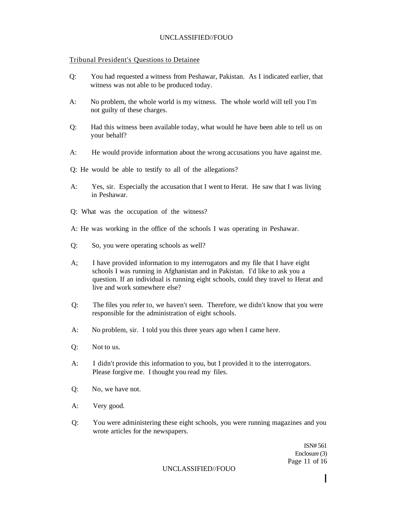# Tribunal President's Questions to Detainee

- Q: You had requested a witness from Peshawar, Pakistan. As I indicated earlier, that witness was not able to be produced today.
- A: No problem, the whole world is my witness. The whole world will tell you I'm not guilty of these charges.
- Q: Had this witness been available today, what would he have been able to tell us on your behalf?
- A: He would provide information about the wrong accusations you have against me.
- Q: He would be able to testify to all of the allegations?
- A: Yes, sir. Especially the accusation that I went to Herat. He saw that I was living in Peshawar.
- Q: What was the occupation of the witness?
- A: He was working in the office of the schools I was operating in Peshawar.
- Q: So, you were operating schools as well?
- A; I have provided information to my interrogators and my file that I have eight schools I was running in Afghanistan and in Pakistan. I'd like to ask you a question. If an individual is running eight schools, could they travel to Herat and live and work somewhere else?
- Q: The files you refer to, we haven't seen. Therefore, we didn't know that you were responsible for the administration of eight schools.
- A: No problem, sir. I told you this three years ago when I came here.
- Q: Not to us.
- A: I didn't provide this information to you, but I provided it to the interrogators. Please forgive me. I thought you read my files.
- Q: No, we have not.
- A: Very good.
- Q: You were administering these eight schools, you were running magazines and you wrote articles for the newspapers.

ISN# 561 Enclosure (3) Page 11 of 16

UNCLASSIFIED//FOUO

**I**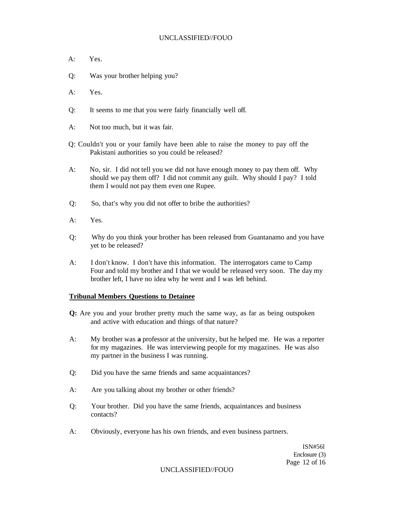- A: Yes.
- Q: Was your brother helping you?
- A: Yes.
- Q: It seems to me that you were fairly financially well off.
- A: Not too much, but it was fair.
- Q: Couldn't you or your family have been able to raise the money to pay off the Pakistani authorities so you could be released?
- A: No, sir. I did not tell you we did not have enough money to pay them off. Why should we pay them off? I did not commit any guilt. Why should I pay? I told them I would not pay them even one Rupee.
- Q: So, that's why you did not offer to bribe the authorities?
- A: Yes.
- Q: Why do you think your brother has been released from Guantanamo and you have yet to be released?
- A: I don't know. I don't have this information. The interrogators came to Camp Four and told my brother and I that we would be released very soon. The day my brother left, I have no idea why he went and I was left behind.

#### **Tribunal Members Questions to Detainee**

- **Q:** Are you and your brother pretty much the same way, as far as being outspoken and active with education and things of that nature?
- A: My brother was **a** professor at the university, but he helped me. He was a reporter for my magazines. He was interviewing people for my magazines. He was also my partner in the business I was running.
- Q: Did you have the same friends and same acquaintances?
- A: Are you talking about my brother or other friends?
- Q: Your brother. Did you have the same friends, acquaintances and business contacts?
- A: Obviously, everyone has his own friends, and even business partners.

ISN#56l Enclosure (3) Page 12 of 16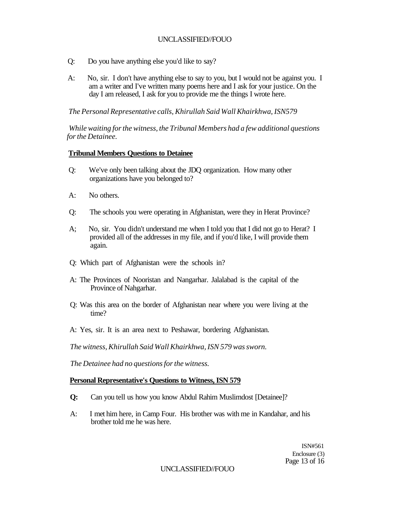- Q: Do you have anything else you'd like to say?
- A: No, sir. I don't have anything else to say to you, but I would not be against you. I am a writer and I've written many poems here and I ask for your justice. On the day I am released, I ask for you to provide me the things I wrote here.

*The Personal Representative calls, Khirullah Said Wall Khairkhwa, ISN579* 

*While waiting for the witness, the Tribunal Members had a few additional questions for the Detainee.* 

# **Tribunal Members Questions to Detainee**

- Q: We've only been talking about the JDQ organization. How many other organizations have you belonged to?
- A: No others.
- Q: The schools you were operating in Afghanistan, were they in Herat Province?
- A; No, sir. You didn't understand me when I told you that I did not go to Herat? I provided all of the addresses in my file, and if you'd like, I will provide them again.
- Q: Which part of Afghanistan were the schools in?
- A: The Provinces of Nooristan and Nangarhar. Jalalabad is the capital of the Province of Nahgarhar.
- Q: Was this area on the border of Afghanistan near where you were living at the time?
- A: Yes, sir. It is an area next to Peshawar, bordering Afghanistan.

*The witness, Khirullah Said Wall Khairkhwa, ISN 579 was sworn.* 

*The Detainee had no questions for the witness.* 

## **Personal Representative's Questions to Witness, ISN 579**

- **Q:** Can you tell us how you know Abdul Rahim Muslimdost [Detainee]?
- A: I met him here, in Camp Four. His brother was with me in Kandahar, and his brother told me he was here.

ISN#561 Enclosure (3) Page 13 of 16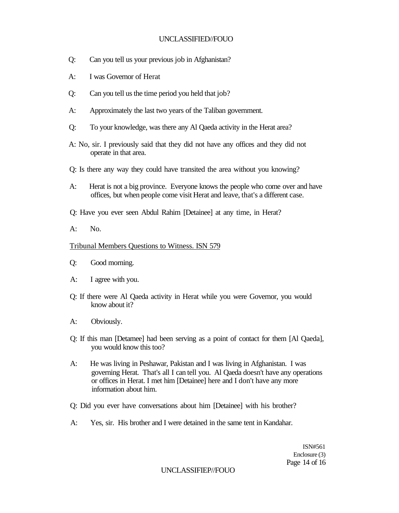- Q: Can you tell us your previous job in Afghanistan?
- A: I was Governor of Herat
- Q: Can you tell us the time period you held that job?
- A: Approximately the last two years of the Taliban government.
- Q: To your knowledge, was there any Al Qaeda activity in the Herat area?
- A: No, sir. I previously said that they did not have any offices and they did not operate in that area.
- Q: Is there any way they could have transited the area without you knowing?
- A: Herat is not a big province. Everyone knows the people who come over and have offices, but when people come visit Herat and leave, that's a different case.
- Q: Have you ever seen Abdul Rahim [Detainee] at any time, in Herat?
- A: No.

### Tribunal Members Questions to Witness. ISN 579

- Q: Good morning.
- A: I agree with you.
- Q: If there were Al Qaeda activity in Herat while you were Governor, you would know about it?
- A: Obviously.
- Q: If this man [Detamee] had been serving as a point of contact for them [Al Qaeda], you would know this too?
- A: He was living in Peshawar, Pakistan and I was living in Afghanistan. I was governing Herat. That's all I can tell you. Al Qaeda doesn't have any operations or offices in Herat. I met him [Detainee] here and I don't have any more information about him.
- Q: Did you ever have conversations about him [Detainee] with his brother?
- A: Yes, sir. His brother and I were detained in the same tent in Kandahar.

ISN#561 Enclosure (3) Page 14 of 16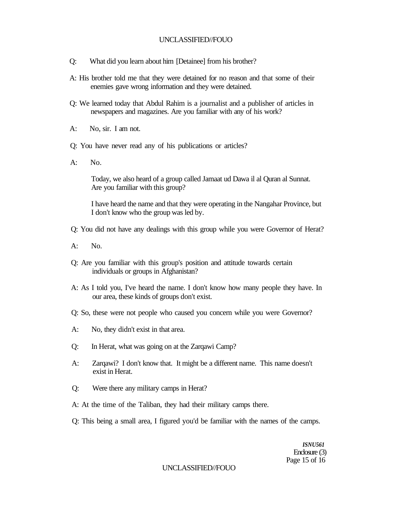- Q: What did you learn about him [Detainee] from his brother?
- A: His brother told me that they were detained for no reason and that some of their enemies gave wrong information and they were detained.
- Q: We learned today that Abdul Rahim is a journalist and a publisher of articles in newspapers and magazines. Are you familiar with any of his work?
- A: No, sir. I am not.
- Q: You have never read any of his publications or articles?
- A: No.

Today, we also heard of a group called Jamaat ud Dawa il al Quran al Sunnat. Are you familiar with this group?

I have heard the name and that they were operating in the Nangahar Province, but I don't know who the group was led by.

- Q: You did not have any dealings with this group while you were Governor of Herat?
- A: No.
- Q: Are you familiar with this group's position and attitude towards certain individuals or groups in Afghanistan?
- A: As I told you, I've heard the name. I don't know how many people they have. In our area, these kinds of groups don't exist.
- Q: So, these were not people who caused you concern while you were Governor?
- A: No, they didn't exist in that area.
- Q: In Herat, what was going on at the Zarqawi Camp?
- A: Zarqawi? I don't know that. It might be a different name. This name doesn't exist in Herat.
- Q: Were there any military camps in Herat?
- A: At the time of the Taliban, they had their military camps there.
- Q: This being a small area, I figured you'd be familiar with the names of the camps.

*ISNU561*  Enclosure (3) Page 15 of 16